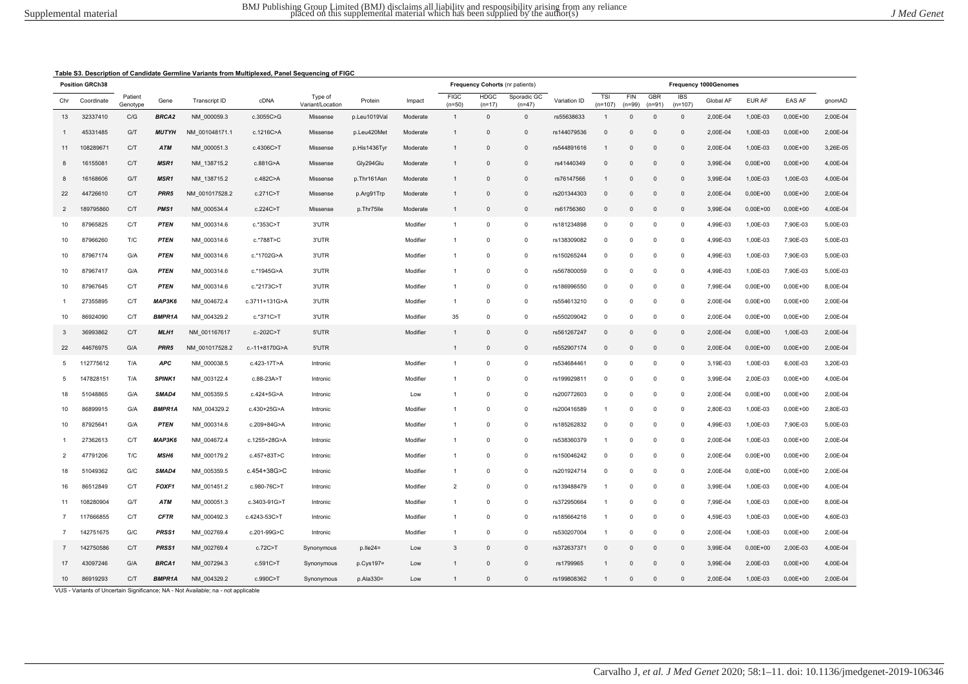|--|

|                | <b>Position GRCh38</b> |                     |                  |                      |               |                             |              |          |                         | Frequency Cohorts (nr patients) |                         |              |                  |                 |                 |                         | Frequency 1000Genomes |              |              |          |
|----------------|------------------------|---------------------|------------------|----------------------|---------------|-----------------------------|--------------|----------|-------------------------|---------------------------------|-------------------------|--------------|------------------|-----------------|-----------------|-------------------------|-----------------------|--------------|--------------|----------|
| Chr            | Coordinate             | Patient<br>Genotype | Gene             | <b>Transcript ID</b> | cDNA          | Type of<br>Variant/Location | Protein      | Impact   | <b>FIGC</b><br>$(n=50)$ | <b>HDGC</b><br>$(n=17)$         | Sporadic GC<br>$(n=47)$ | Variation ID | TSI<br>$(n=107)$ | FIN<br>$(n=99)$ | GBR<br>$(n=91)$ | <b>IBS</b><br>$(n=107)$ | Global AF             | EUR AF       | EAS AF       | gnomAD   |
| 13             | 32337410               | C/G                 | BRCA2            | NM_000059.3          | c.3055C>G     | Missense                    | p.Leu1019Val | Moderate | $\overline{1}$          | $\Omega$                        | $\mathbf{0}$            | rs55638633   | $\overline{1}$   | $\Omega$        | $\mathbf{0}$    | $\overline{0}$          | 2,00E-04              | 1,00E-03     | $0,00E+00$   | 2,00E-04 |
| -1             | 45331485               | G/T                 | <b>MUTYH</b>     | NM 001048171.1       | c.1216C>A     | Missense                    | p.Leu420Met  | Moderate | $\overline{1}$          | $\Omega$                        | $\mathbf 0$             | rs144079536  | $\mathbf{0}$     | $\Omega$        | $\Omega$        | $\Omega$                | 2,00E-04              | 1,00E-03     | $0,00E+00$   | 2.00E-04 |
| 11             | 108289671              | C/T                 | ATM              | NM_000051.3          | c.4306C>T     | Missense                    | p.His1436Tyr | Moderate | $\mathbf{1}$            | $\Omega$                        | $\mathsf 0$             | rs544891616  | $\mathbf 1$      | $\mathbf 0$     | $\Omega$        | $\Omega$                | 2,00E-04              | 1,00E-03     | $0,00E + 00$ | 3,26E-05 |
| 8              | 16155081               | C/T                 | MSR1             | NM_138715.2          | c.881G>A      | Missense                    | Gly294Glu    | Moderate | $\mathbf{1}$            | $\Omega$                        | $\mathsf 0$             | rs41440349   | $\mathbf 0$      | $\Omega$        | $\overline{0}$  | $\Omega$                | 3,99E-04              | $0,00E+00$   | $0,00E+00$   | 4,00E-04 |
| 8              | 16168606               | G/T                 | MSR1             | NM_138715.2          | c.482C>A      | Missense                    | p.Thr161Asn  | Moderate | $\overline{1}$          | $\Omega$                        | $\mathsf 0$             | rs76147566   | -1               | $\mathbf 0$     | $\mathbf 0$     | $\mathbf 0$             | 3,99E-04              | 1,00E-03     | 1,00E-03     | 4,00E-04 |
| 22             | 44726610               | C/T                 | PRR5             | NM 001017528.2       | c.271C>T      | Missense                    | p.Arg91Trp   | Moderate | $\mathbf{1}$            | $\mathbf 0$                     | $\mathsf 0$             | rs201344303  | $\mathsf 0$      | $\mathbf 0$     | $\overline{0}$  | $\mathbf 0$             | 2,00E-04              | $0,00E+00$   | $0,00E+00$   | 2,00E-04 |
| $\overline{2}$ | 189795860              | C/T                 | PMS1             | NM_000534.4          | c.224C>T      | Missense                    | p.Thr75lle   | Moderate | $\mathbf{1}$            | $\mathbf{0}$                    | $\mathsf 0$             | rs61756360   | $\mathbf{0}$     | $\mathbf 0$     | $\overline{0}$  | $\mathbf 0$             | 3,99E-04              | $0,00E+00$   | $0,00E + 00$ | 4,00E-04 |
| 10             | 87965825               | C/T                 | <b>PTEN</b>      | NM_000314.6          | c.*353C>T     | 3'UTR                       |              | Modifier | $\overline{1}$          | $\mathbf 0$                     | $\mathsf 0$             | rs181234898  | $\mathbf 0$      | $\mathbf 0$     | $\mathbf 0$     | $\Omega$                | 4,99E-03              | 1,00E-03     | 7,90E-03     | 5,00E-03 |
| 10             | 87966260               | T/C                 | <b>PTEN</b>      | NM 000314.6          | c.*788T>C     | 3'UTR                       |              | Modifier | $\overline{1}$          | $\Omega$                        | $^{\circ}$              | rs138309082  | $\Omega$         | $\Omega$        | $^{\circ}$      | $\Omega$                | 4,99E-03              | 1,00E-03     | 7,90E-03     | 5,00E-03 |
| 10             | 87967174               | G/A                 | <b>PTEN</b>      | NM 000314.6          | c.*1702G>A    | 3'UTR                       |              | Modifier | $\overline{1}$          | $\mathbf 0$                     | $\mathbf 0$             | rs150265244  | $\mathbf 0$      | 0               | $\mathbf 0$     | 0                       | 4,99E-03              | 1,00E-03     | 7,90E-03     | 5,00E-03 |
| 10             | 87967417               | G/A                 | <b>PTEN</b>      | NM 000314.6          | c.*1945G>A    | 3'UTR                       |              | Modifier | $\overline{1}$          | $\Omega$                        | $\mathbf 0$             | rs567800059  | $\Omega$         | $\Omega$        | $\Omega$        | $\Omega$                | 4,99E-03              | 1,00E-03     | 7,90E-03     | 5,00E-03 |
| 10             | 87967645               | C/T                 | <b>PTEN</b>      | NM_000314.6          | c.*2173C>T    | 3'UTR                       |              | Modifier | $\overline{1}$          | $\mathbf 0$                     | $\mathbf 0$             | rs186996550  | $\mathbf 0$      | 0               | $\mathbf 0$     | $\overline{0}$          | 7,99E-04              | $0,00E+00$   | $0,00E+00$   | 8,00E-04 |
| $\overline{1}$ | 27355895               | C/T                 | <b>МАРЗК6</b>    | NM 004672.4          | c.3711+131G>A | 3'UTR                       |              | Modifier | $\overline{1}$          | $\Omega$                        | $\mathsf 0$             | rs554613210  | $^{\circ}$       | $\Omega$        | $\mathbf{0}$    | $\Omega$                | 2,00E-04              | $0,00E+00$   | $0,00E+00$   | 2,00E-04 |
| 10             | 86924090               | C/T                 | BMPR1A           | NM_004329.2          | c.*371C>T     | 3'UTR                       |              | Modifier | 35                      | $\Omega$                        | $\mathbf 0$             | rs550209042  | $\Omega$         | 0               | $\mathbf{0}$    | $\overline{0}$          | 2,00E-04              | $0,00E + 00$ | $0,00E+00$   | 2,00E-04 |
| 3              | 36993862               | C/T                 | MLH1             | NM_001167617         | c.-202C>T     | 5'UTR                       |              | Modifier | $\mathbf{1}$            | $\Omega$                        | $\mathsf 0$             | rs561267247  | $\mathbf{0}$     | $\Omega$        | $\Omega$        | $\Omega$                | 2,00E-04              | $0,00E+00$   | 1,00E-03     | 2,00E-04 |
| 22             | 44676975               | G/A                 | PRR <sub>5</sub> | NM 001017528.2       | c.-11+8170G>A | 5'UTR                       |              |          | $\overline{1}$          | $\Omega$                        | $\mathsf 0$             | rs552907174  | $\mathbf{0}$     | $\Omega$        | $\overline{0}$  | $\Omega$                | 2,00E-04              | $0,00E+00$   | $0,00E+00$   | 2.00E-04 |
| 5              | 112775612              | T/A                 | <b>APC</b>       | NM_000038.5          | c.423-17T>A   | Intronic                    |              | Modifier | $\overline{1}$          | $\mathbf 0$                     | $\mathsf 0$             | rs534684461  | $\mathbf 0$      | $\mathbf 0$     | $\overline{0}$  | $\mathbf 0$             | 3,19E-03              | 1,00E-03     | 6,00E-03     | 3,20E-03 |
| 5              | 147828151              | T/A                 | SPINK1           | NM_003122.4          | c.88-23A>T    | Intronic                    |              | Modifier | $\overline{1}$          | $\mathbf 0$                     | $\mathbf 0$             | rs199929811  | $^{\circ}$       | $\Omega$        | $\Omega$        | $\Omega$                | 3,99E-04              | 2,00E-03     | $0,00E+00$   | 4,00E-04 |
| 18             | 51048865               | G/A                 | SMAD4            | NM_005359.5          | c.424+5G>A    | Intronic                    |              | Low      | $\overline{1}$          | 0                               | $\mathsf 0$             | rs200772603  | $^{\circ}$       | 0               | 0               | $\overline{0}$          | 2,00E-04              | $0,00E+00$   | $0,00E+00$   | 2,00E-04 |
| 10             | 86899915               | G/A                 | <b>BMPR1A</b>    | NM_004329.2          | c.430+25G>A   | Intronic                    |              | Modifier | $\overline{1}$          | $\Omega$                        | $\mathsf 0$             | rs200416589  | $\overline{1}$   | $\Omega$        | $\mathbf{0}$    | $\Omega$                | 2,80E-03              | 1,00E-03     | $0,00E+00$   | 2,80E-03 |
| 10             | 87925641               | G/A                 | <b>PTEN</b>      | NM 000314.6          | c.209+84G>A   | Intronic                    |              | Modifier | $\mathbf{1}$            | 0                               | $\mathbf 0$             | rs185262832  | 0                | 0               | 0               | 0                       | 4,99E-03              | 1,00E-03     | 7,90E-03     | 5,00E-03 |
| $\overline{1}$ | 27362613               | C/T                 | <b>МАРЗК6</b>    | NM_004672.4          | c.1255+28G>A  | Intronic                    |              | Modifier | $\mathbf{1}$            | $\Omega$                        | $\mathbf 0$             | rs538360379  | $\overline{1}$   | 0               | $\overline{0}$  | $\Omega$                | 2,00E-04              | 1,00E-03     | $0,00E+00$   | 2,00E-04 |
| $\overline{2}$ | 47791206               | T/C                 | MSH6             | NM 000179.2          | c.457+83T>C   | Intronic                    |              | Modifier | $\overline{1}$          | $\Omega$                        | $^{\circ}$              | rs150046242  | $\Omega$         | $\Omega$        | $\Omega$        | $\Omega$                | 2,00E-04              | $0,00E+00$   | $0,00E+00$   | 2,00E-04 |
| 18             | 51049362               | G/C                 | SMAD4            | NM_005359.5          | c.454+38G>C   | Intronic                    |              | Modifier | $\overline{1}$          | 0                               | $\mathbf 0$             | rs201924714  | $\mathbf 0$      | 0               | $\overline{0}$  | 0                       | 2,00E-04              | $0,00E+00$   | $0,00E+00$   | 2,00E-04 |
| 16             | 86512849               | C/T                 | FOXF1            | NM 001451.2          | c.980-76C>T   | Intronic                    |              | Modifier | $\overline{2}$          | $\Omega$                        | $^{\circ}$              | rs139488479  | $\overline{1}$   | $\Omega$        | $\Omega$        | $\Omega$                | 3,99E-04              | 1,00E-03     | $0,00E+00$   | 4,00E-04 |
| 11             | 108280904              | G/T                 | ATM              | NM_000051.3          | c.3403-91G>T  | Intronic                    |              | Modifier | $\overline{1}$          | $\mathbf 0$                     | $\mathbf 0$             | rs372950664  | $\overline{1}$   | 0               | $\overline{0}$  | $\mathbf 0$             | 7,99E-04              | 1,00E-03     | $0,00E+00$   | 8,00E-04 |
| $\overline{7}$ | 117666855              | C/T                 | <b>CFTR</b>      | NM_000492.3          | c.4243-53C>T  | Intronic                    |              | Modifier | $\overline{1}$          | $\Omega$                        | $\mathbf 0$             | rs185664216  | $\overline{1}$   | $\Omega$        | $\mathbf{0}$    | $\Omega$                | 4,59E-03              | 1,00E-03     | $0,00E+00$   | 4,60E-03 |
| $\overline{7}$ | 142751675              | G/C                 | PRSS1            | NM 002769.4          | c.201-99G>C   | Intronic                    |              | Modifier | $\overline{1}$          | $\Omega$                        | $^{\circ}$              | rs530207004  | $\overline{1}$   | $\mathbf 0$     | $\mathbf{0}$    | $\Omega$                | 2.00E-04              | 1,00E-03     | $0,00E+00$   | 2.00E-04 |
| 7              | 142750586              | C/T                 | PRSS1            | NM_002769.4          | c.72C>T       | Synonymous                  | $p.Ile24=$   | Low      | 3                       | $\Omega$                        | $\mathsf 0$             | rs372637371  | $\mathsf 0$      | $\Omega$        | $\overline{0}$  | $\Omega$                | 3,99E-04              | $0,00E+00$   | 2,00E-03     | 4,00E-04 |
| 17             | 43097246               | G/A                 | BRCA1            | NM 007294.3          | c.591C>T      | Synonymous                  | p.Cys197=    | Low      | $\mathbf{1}$            | $\Omega$                        | $\mathbf{0}$            | rs1799965    | $\mathbf{1}$     | $\Omega$        | $\Omega$        | $\Omega$                | 3.99E-04              | 2,00E-03     | $0,00E+00$   | 4,00E-04 |
| 10             | 86919293               | C/T                 | <b>BMPR1A</b>    | NM_004329.2          | c.990C>T      | Synonymous                  | p.Ala330=    | Low      | $\mathbf{1}$            | $\Omega$                        | $\Omega$                | rs199808362  | $\mathbf{1}$     | $\Omega$        | $\Omega$        | $\Omega$                | 2,00E-04              | 1,00E-03     | $0,00E+00$   | 2,00E-04 |

VUS - Variants of Uncertain Significance; NA - Not Available; na - not applicable